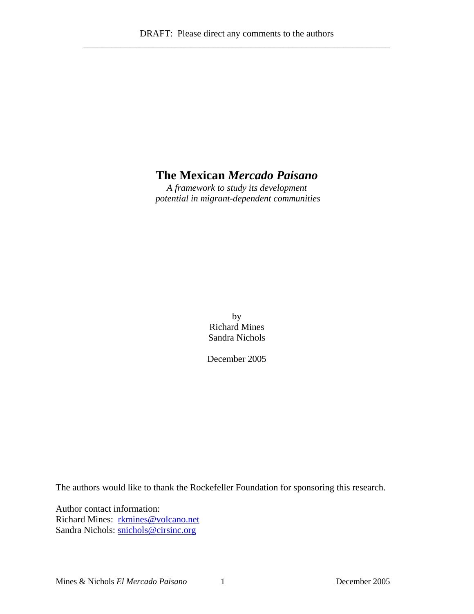# **The Mexican** *Mercado Paisano*

*A framework to study its development potential in migrant-dependent communities*

> by Richard Mines Sandra Nichols

December 2005

The authors would like to thank the Rockefeller Foundation for sponsoring this research.

Author contact information: Richard Mines: rkmines@volcano.net Sandra Nichols: [snichols@cirsinc.org](mailto:snichols@cirsinc.org)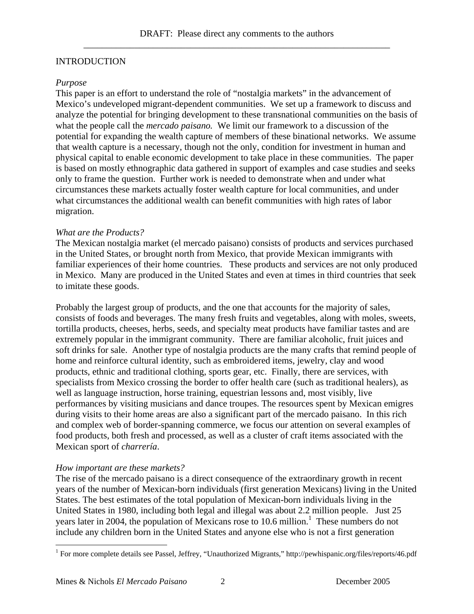# INTRODUCTION

#### *Purpose*

This paper is an effort to understand the role of "nostalgia markets" in the advancement of Mexico's undeveloped migrant-dependent communities. We set up a framework to discuss and analyze the potential for bringing development to these transnational communities on the basis of what the people call the *mercado paisano.* We limit our framework to a discussion of the potential for expanding the wealth capture of members of these binational networks. We assume that wealth capture is a necessary, though not the only, condition for investment in human and physical capital to enable economic development to take place in these communities. The paper is based on mostly ethnographic data gathered in support of examples and case studies and seeks only to frame the question. Further work is needed to demonstrate when and under what circumstances these markets actually foster wealth capture for local communities, and under what circumstances the additional wealth can benefit communities with high rates of labor migration.

#### *What are the Products?*

The Mexican nostalgia market (el mercado paisano) consists of products and services purchased in the United States, or brought north from Mexico, that provide Mexican immigrants with familiar experiences of their home countries. These products and services are not only produced in Mexico. Many are produced in the United States and even at times in third countries that seek to imitate these goods.

Probably the largest group of products, and the one that accounts for the majority of sales, consists of foods and beverages. The many fresh fruits and vegetables, along with moles, sweets, tortilla products, cheeses, herbs, seeds, and specialty meat products have familiar tastes and are extremely popular in the immigrant community. There are familiar alcoholic, fruit juices and soft drinks for sale. Another type of nostalgia products are the many crafts that remind people of home and reinforce cultural identity, such as embroidered items, jewelry, clay and wood products, ethnic and traditional clothing, sports gear, etc. Finally, there are services, with specialists from Mexico crossing the border to offer health care (such as traditional healers), as well as language instruction, horse training, equestrian lessons and, most visibly, live performances by visiting musicians and dance troupes. The resources spent by Mexican emigres during visits to their home areas are also a significant part of the mercado paisano. In this rich and complex web of border-spanning commerce, we focus our attention on several examples of food products, both fresh and processed, as well as a cluster of craft items associated with the Mexican sport of *charrería*.

#### *How important are these markets?*

The rise of the mercado paisano is a direct consequence of the extraordinary growth in recent years of the number of Mexican-born individuals (first generation Mexicans) living in the United States. The best estimates of the total population of Mexican-born individuals living in the United States in 1980, including both legal and illegal was about 2.2 million people. Just 25 years later in 2004, the population of Mexicans rose to 10.6 million.<sup>1</sup> These numbers do not include any children born in the United States and anyone else who is not a first generation

 1 For more complete details see Passel, Jeffrey, "Unauthorized Migrants," http://pewhispanic.org/files/reports/46.pdf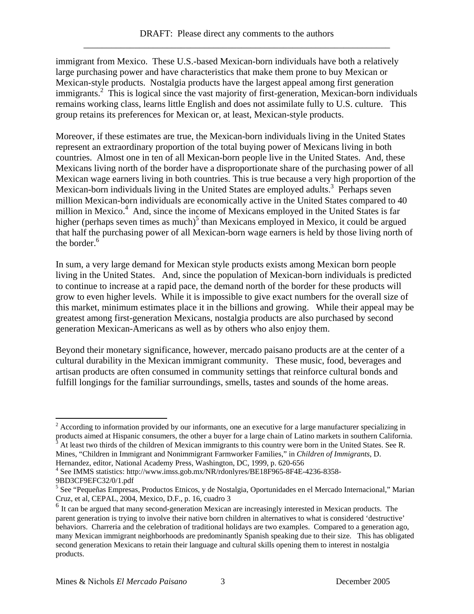immigrant from Mexico. These U.S.-based Mexican-born individuals have both a relatively large purchasing power and have characteristics that make them prone to buy Mexican or Mexican-style products. Nostalgia products have the largest appeal among first generation immigrants.<sup>2</sup> This is logical since the vast majority of first-generation, Mexican-born individuals remains working class, learns little English and does not assimilate fully to U.S. culture. This group retains its preferences for Mexican or, at least, Mexican-style products.

Moreover, if these estimates are true, the Mexican-born individuals living in the United States represent an extraordinary proportion of the total buying power of Mexicans living in both countries. Almost one in ten of all Mexican-born people live in the United States. And, these Mexicans living north of the border have a disproportionate share of the purchasing power of all Mexican wage earners living in both countries. This is true because a very high proportion of the Mexican-born individuals living in the United States are employed adults.<sup>3</sup> Perhaps seven million Mexican-born individuals are economically active in the United States compared to 40 million in Mexico.<sup>4</sup> And, since the income of Mexicans employed in the United States is far higher (perhaps seven times as much)<sup>5</sup> than Mexicans employed in Mexico, it could be argued that half the purchasing power of all Mexican-born wage earners is held by those living north of the border.<sup>6</sup>

In sum, a very large demand for Mexican style products exists among Mexican born people living in the United States. And, since the population of Mexican-born individuals is predicted to continue to increase at a rapid pace, the demand north of the border for these products will grow to even higher levels. While it is impossible to give exact numbers for the overall size of this market, minimum estimates place it in the billions and growing. While their appeal may be greatest among first-generation Mexicans, nostalgia products are also purchased by second generation Mexican-Americans as well as by others who also enjoy them.

Beyond their monetary significance, however, mercado paisano products are at the center of a cultural durability in the Mexican immigrant community. These music, food, beverages and artisan products are often consumed in community settings that reinforce cultural bonds and fulfill longings for the familiar surroundings, smells, tastes and sounds of the home areas.

 At least two thirds of the children of Mexican immigrants to this country were born in the United States. See R. Mines, "Children in Immigrant and Nonimmigrant Farmworker Families," in *Children of Immigrants*, D.

1

 $2 \text{ According to information provided by our informants, one an executive for a large manufacturer, specifically, in the context of the system.}$ products aimed at Hispanic consumers, the other a buyer for a large chain of Latino markets in southern California.<br><sup>3</sup> At least two thirds of the children of Moviesn immigrants to this country were bern in the United Stat

Hernandez, editor, National Academy Press, Washington, DC, 1999, p. 620-656

<sup>4</sup> See IMMS statistics: http://www.imss.gob.mx/NR/rdonlyres/BE18F965-8F4E-4236-8358- 9BD3CF9EFC32/0/1.pdf

<sup>&</sup>lt;sup>5</sup> See "Pequeñas Empresas, Productos Etnicos, y de Nostalgia, Oportunidades en el Mercado Internacional," Marian Cruz, et al, CEPAL, 2004, Mexico, D.F., p. 16, cuadro 3

<sup>6</sup> It can be argued that many second-generation Mexican are increasingly interested in Mexican products. The parent generation is trying to involve their native born children in alternatives to what is considered 'destructive' behaviors. Charreria and the celebration of traditional holidays are two examples. Compared to a generation ago, many Mexican immigrant neighborhoods are predominantly Spanish speaking due to their size. This has obligated second generation Mexicans to retain their language and cultural skills opening them to interest in nostalgia products.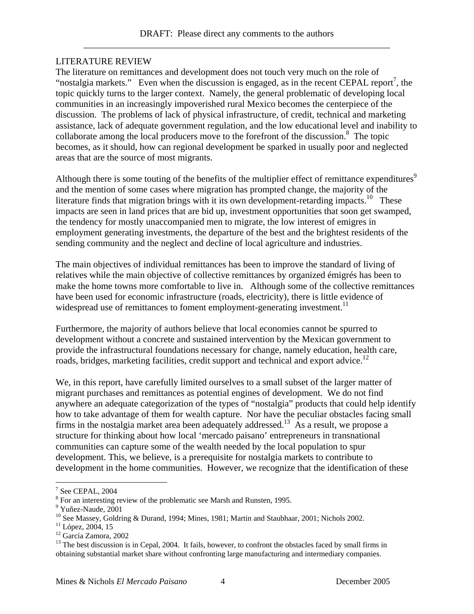# LITERATURE REVIEW

The literature on remittances and development does not touch very much on the role of "nostalgia markets." Even when the discussion is engaged, as in the recent CEPAL report<sup>7</sup>, the topic quickly turns to the larger context. Namely, the general problematic of developing local communities in an increasingly impoverished rural Mexico becomes the centerpiece of the discussion. The problems of lack of physical infrastructure, of credit, technical and marketing assistance, lack of adequate government regulation, and the low educational level and inability to collaborate among the local producers move to the forefront of the discussion.<sup>8</sup> The topic becomes, as it should, how can regional development be sparked in usually poor and neglected areas that are the source of most migrants.

Although there is some touting of the benefits of the multiplier effect of remittance expenditures $\delta$ and the mention of some cases where migration has prompted change, the majority of the literature finds that migration brings with it its own development-retarding impacts.<sup>10</sup> These impacts are seen in land prices that are bid up, investment opportunities that soon get swamped, the tendency for mostly unaccompanied men to migrate, the low interest of emigres in employment generating investments, the departure of the best and the brightest residents of the sending community and the neglect and decline of local agriculture and industries.

The main objectives of individual remittances has been to improve the standard of living of relatives while the main objective of collective remittances by organized émigrés has been to make the home towns more comfortable to live in. Although some of the collective remittances have been used for economic infrastructure (roads, electricity), there is little evidence of widespread use of remittances to foment employment-generating investment.<sup>11</sup>

Furthermore, the majority of authors believe that local economies cannot be spurred to development without a concrete and sustained intervention by the Mexican government to provide the infrastructural foundations necessary for change, namely education, health care, roads, bridges, marketing facilities, credit support and technical and export advice.<sup>12</sup>

We, in this report, have carefully limited ourselves to a small subset of the larger matter of migrant purchases and remittances as potential engines of development. We do not find anywhere an adequate categorization of the types of "nostalgia" products that could help identify how to take advantage of them for wealth capture. Nor have the peculiar obstacles facing small firms in the nostalgia market area been adequately addressed.<sup>13</sup> As a result, we propose a structure for thinking about how local 'mercado paisano' entrepreneurs in transnational communities can capture some of the wealth needed by the local population to spur development. This, we believe, is a prerequisite for nostalgia markets to contribute to development in the home communities. However, we recognize that the identification of these

1

 $7$  See CEPAL, 2004

 $8$  For an interesting review of the problematic see Marsh and Runsten, 1995.

<sup>9</sup> Yuñez-Naude, 2001

<sup>&</sup>lt;sup>10</sup> See Massey, Goldring & Durand, 1994; Mines, 1981; Martin and Staubhaar, 2001; Nichols 2002.

<sup>&</sup>lt;sup>11</sup> López, 2004, 15

<sup>12</sup> García Zamora, 2002

 $13$  The best discussion is in Cepal, 2004. It fails, however, to confront the obstacles faced by small firms in obtaining substantial market share without confronting large manufacturing and intermediary companies.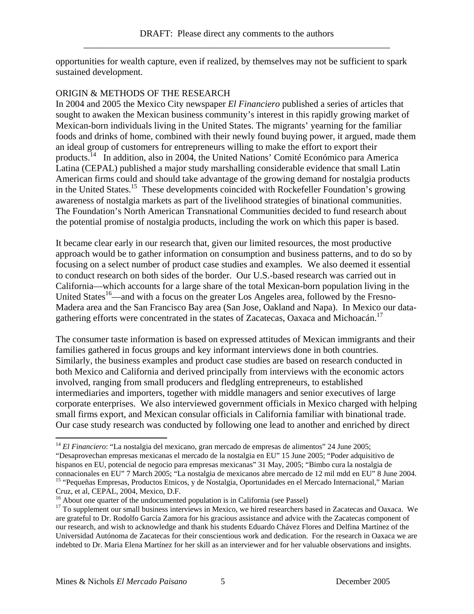opportunities for wealth capture, even if realized, by themselves may not be sufficient to spark sustained development.

# ORIGIN & METHODS OF THE RESEARCH

In 2004 and 2005 the Mexico City newspaper *El Financiero* published a series of articles that sought to awaken the Mexican business community's interest in this rapidly growing market of Mexican-born individuals living in the United States. The migrants' yearning for the familiar foods and drinks of home, combined with their newly found buying power, it argued, made them an ideal group of customers for entrepreneurs willing to make the effort to export their products.14 In addition, also in 2004, the United Nations' Comité Económico para America Latina (CEPAL) published a major study marshalling considerable evidence that small Latin American firms could and should take advantage of the growing demand for nostalgia products in the United States.15 These developments coincided with Rockefeller Foundation's growing awareness of nostalgia markets as part of the livelihood strategies of binational communities. The Foundation's North American Transnational Communities decided to fund research about the potential promise of nostalgia products, including the work on which this paper is based.

It became clear early in our research that, given our limited resources, the most productive approach would be to gather information on consumption and business patterns, and to do so by focusing on a select number of product case studies and examples. We also deemed it essential to conduct research on both sides of the border. Our U.S.-based research was carried out in California—which accounts for a large share of the total Mexican-born population living in the United States<sup>16</sup>—and with a focus on the greater Los Angeles area, followed by the Fresno-Madera area and the San Francisco Bay area (San Jose, Oakland and Napa). In Mexico our datagathering efforts were concentrated in the states of Zacatecas, Oaxaca and Michoacán.<sup>17</sup>

The consumer taste information is based on expressed attitudes of Mexican immigrants and their families gathered in focus groups and key informant interviews done in both countries. Similarly, the business examples and product case studies are based on research conducted in both Mexico and California and derived principally from interviews with the economic actors involved, ranging from small producers and fledgling entrepreneurs, to established intermediaries and importers, together with middle managers and senior executives of large corporate enterprises. We also interviewed government officials in Mexico charged with helping small firms export, and Mexican consular officials in California familiar with binational trade. Our case study research was conducted by following one lead to another and enriched by direct

<sup>1</sup> <sup>14</sup> *El Financiero*: "La nostalgia del mexicano, gran mercado de empresas de alimentos" 24 June 2005;

<sup>&</sup>quot;Desaprovechan empresas mexicanas el mercado de la nostalgia en EU" 15 June 2005; "Poder adquisitivo de hispanos en EU, potencial de negocio para empresas mexicanas" 31 May, 2005; "Bimbo cura la nostalgia de <sup>15</sup> "Pequeñas Empresas, Productos Etnicos, y de Nostalgia, Oportunidades en el Mercado Internacional," Marian

Cruz, et al, CEPAL, 2004, Mexico, D.F.<br><sup>16</sup> About one quarter of the undocumented population is in California (see Passel)

 $17$  To supplement our small business interviews in Mexico, we hired researchers based in Zacatecas and Oaxaca. We are grateful to Dr. Rodolfo García Zamora for his gracious assistance and advice with the Zacatecas component of our research, and wish to acknowledge and thank his students Eduardo Chávez Flores and Delfina Martínez of the Universidad Autónoma de Zacatecas for their conscientious work and dedication. For the research in Oaxaca we are indebted to Dr. Maria Elena Martínez for her skill as an interviewer and for her valuable observations and insights.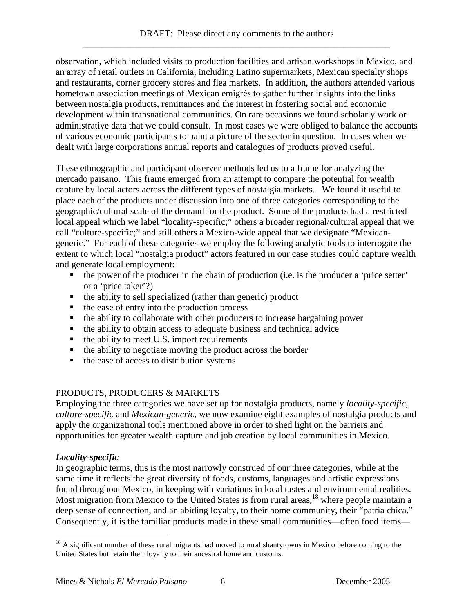observation, which included visits to production facilities and artisan workshops in Mexico, and an array of retail outlets in California, including Latino supermarkets, Mexican specialty shops and restaurants, corner grocery stores and flea markets. In addition, the authors attended various hometown association meetings of Mexican émigrés to gather further insights into the links between nostalgia products, remittances and the interest in fostering social and economic development within transnational communities. On rare occasions we found scholarly work or administrative data that we could consult. In most cases we were obliged to balance the accounts of various economic participants to paint a picture of the sector in question. In cases when we dealt with large corporations annual reports and catalogues of products proved useful.

These ethnographic and participant observer methods led us to a frame for analyzing the mercado paisano. This frame emerged from an attempt to compare the potential for wealth capture by local actors across the different types of nostalgia markets. We found it useful to place each of the products under discussion into one of three categories corresponding to the geographic/cultural scale of the demand for the product. Some of the products had a restricted local appeal which we label "locality-specific;" others a broader regional/cultural appeal that we call "culture-specific;" and still others a Mexico-wide appeal that we designate "Mexicangeneric." For each of these categories we employ the following analytic tools to interrogate the extent to which local "nostalgia product" actors featured in our case studies could capture wealth and generate local employment:

- the power of the producer in the chain of production (i.e. is the producer a 'price setter' or a 'price taker'?)
- $\blacksquare$  the ability to sell specialized (rather than generic) product
- the ease of entry into the production process
- the ability to collaborate with other producers to increase bargaining power
- $\blacksquare$  the ability to obtain access to adequate business and technical advice
- $\blacksquare$  the ability to meet U.S. import requirements
- $\blacksquare$  the ability to negotiate moving the product across the border
- $\blacksquare$  the ease of access to distribution systems

# PRODUCTS, PRODUCERS & MARKETS

Employing the three categories we have set up for nostalgia products, namely *locality-specific*, *culture-specific* and *Mexican-generic*, we now examine eight examples of nostalgia products and apply the organizational tools mentioned above in order to shed light on the barriers and opportunities for greater wealth capture and job creation by local communities in Mexico.

# *Locality-specific*

In geographic terms, this is the most narrowly construed of our three categories, while at the same time it reflects the great diversity of foods, customs, languages and artistic expressions found throughout Mexico, in keeping with variations in local tastes and environmental realities. Most migration from Mexico to the United States is from rural areas,<sup>18</sup> where people maintain a deep sense of connection, and an abiding loyalty, to their home community, their "patria chica." Consequently, it is the familiar products made in these small communities—often food items—

 $\overline{a}$  $18$  A significant number of these rural migrants had moved to rural shantytowns in Mexico before coming to the United States but retain their loyalty to their ancestral home and customs.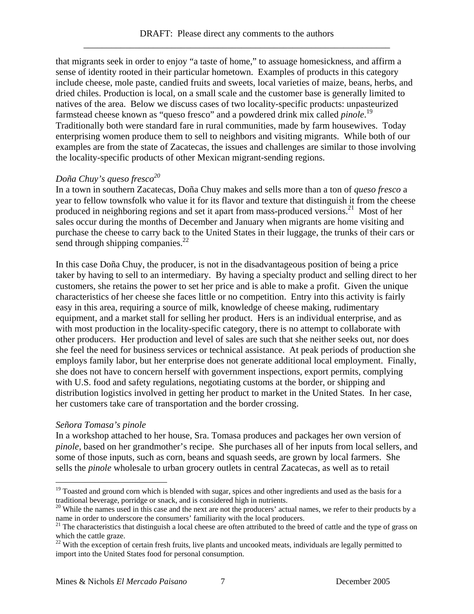that migrants seek in order to enjoy "a taste of home," to assuage homesickness, and affirm a sense of identity rooted in their particular hometown. Examples of products in this category include cheese, mole paste, candied fruits and sweets, local varieties of maize, beans, herbs, and dried chiles. Production is local, on a small scale and the customer base is generally limited to natives of the area. Below we discuss cases of two locality-specific products: unpasteurized farmstead cheese known as "queso fresco" and a powdered drink mix called *pinole*. 19 Traditionally both were standard fare in rural communities, made by farm housewives. Today enterprising women produce them to sell to neighbors and visiting migrants. While both of our examples are from the state of Zacatecas, the issues and challenges are similar to those involving the locality-specific products of other Mexican migrant-sending regions.

# *Doña Chuy's queso fresco20*

In a town in southern Zacatecas, Doña Chuy makes and sells more than a ton of *queso fresco* a year to fellow townsfolk who value it for its flavor and texture that distinguish it from the cheese produced in neighboring regions and set it apart from mass-produced versions.<sup>21</sup> Most of her sales occur during the months of December and January when migrants are home visiting and purchase the cheese to carry back to the United States in their luggage, the trunks of their cars or send through shipping companies.<sup>22</sup>

In this case Doña Chuy, the producer, is not in the disadvantageous position of being a price taker by having to sell to an intermediary. By having a specialty product and selling direct to her customers, she retains the power to set her price and is able to make a profit. Given the unique characteristics of her cheese she faces little or no competition. Entry into this activity is fairly easy in this area, requiring a source of milk, knowledge of cheese making, rudimentary equipment, and a market stall for selling her product. Hers is an individual enterprise, and as with most production in the locality-specific category, there is no attempt to collaborate with other producers. Her production and level of sales are such that she neither seeks out, nor does she feel the need for business services or technical assistance. At peak periods of production she employs family labor, but her enterprise does not generate additional local employment. Finally, she does not have to concern herself with government inspections, export permits, complying with U.S. food and safety regulations, negotiating customs at the border, or shipping and distribution logistics involved in getting her product to market in the United States. In her case, her customers take care of transportation and the border crossing.

#### *Señora Tomasa's pinole*

 $\overline{a}$ 

In a workshop attached to her house, Sra. Tomasa produces and packages her own version of *pinole*, based on her grandmother's recipe. She purchases all of her inputs from local sellers, and some of those inputs, such as corn, beans and squash seeds, are grown by local farmers. She sells the *pinole* wholesale to urban grocery outlets in central Zacatecas, as well as to retail

 $19$  Toasted and ground corn which is blended with sugar, spices and other ingredients and used as the basis for a traditional beverage, porridge or snack, and is considered high in nutrients.

<sup>&</sup>lt;sup>20</sup> While the names used in this case and the next are not the producers' actual names, we refer to their products by a name in order to underscore the consumers' familiarity with the local producers.

 $21$  The characteristics that distinguish a local cheese are often attributed to the breed of cattle and the type of grass on which the cattle graze.

 $22$  With the exception of certain fresh fruits, live plants and uncooked meats, individuals are legally permitted to import into the United States food for personal consumption.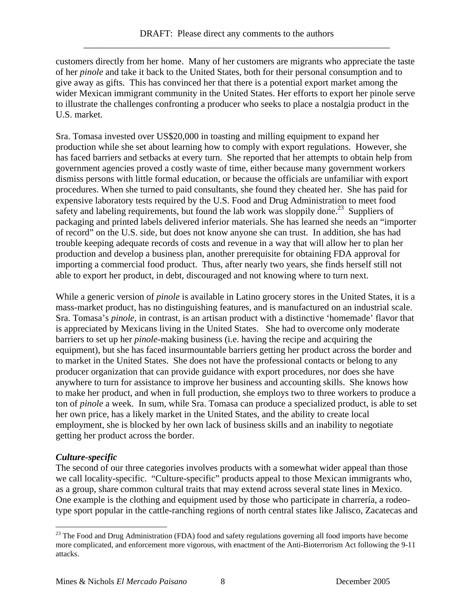customers directly from her home. Many of her customers are migrants who appreciate the taste of her *pinole* and take it back to the United States, both for their personal consumption and to give away as gifts. This has convinced her that there is a potential export market among the wider Mexican immigrant community in the United States. Her efforts to export her pinole serve to illustrate the challenges confronting a producer who seeks to place a nostalgia product in the U.S. market.

Sra. Tomasa invested over US\$20,000 in toasting and milling equipment to expand her production while she set about learning how to comply with export regulations. However, she has faced barriers and setbacks at every turn. She reported that her attempts to obtain help from government agencies proved a costly waste of time, either because many government workers dismiss persons with little formal education, or because the officials are unfamiliar with export procedures. When she turned to paid consultants, she found they cheated her. She has paid for expensive laboratory tests required by the U.S. Food and Drug Administration to meet food safety and labeling requirements, but found the lab work was sloppily done.<sup>23</sup> Suppliers of packaging and printed labels delivered inferior materials. She has learned she needs an "importer of record" on the U.S. side, but does not know anyone she can trust. In addition, she has had trouble keeping adequate records of costs and revenue in a way that will allow her to plan her production and develop a business plan, another prerequisite for obtaining FDA approval for importing a commercial food product. Thus, after nearly two years, she finds herself still not able to export her product, in debt, discouraged and not knowing where to turn next.

While a generic version of *pinole* is available in Latino grocery stores in the United States, it is a mass-market product, has no distinguishing features, and is manufactured on an industrial scale. Sra. Tomasa's *pinole*, in contrast, is an artisan product with a distinctive 'homemade' flavor that is appreciated by Mexicans living in the United States. She had to overcome only moderate barriers to set up her *pinole*-making business (i.e. having the recipe and acquiring the equipment), but she has faced insurmountable barriers getting her product across the border and to market in the United States. She does not have the professional contacts or belong to any producer organization that can provide guidance with export procedures, nor does she have anywhere to turn for assistance to improve her business and accounting skills. She knows how to make her product, and when in full production, she employs two to three workers to produce a ton of *pinole* a week. In sum, while Sra. Tomasa can produce a specialized product, is able to set her own price, has a likely market in the United States, and the ability to create local employment, she is blocked by her own lack of business skills and an inability to negotiate getting her product across the border.

#### *Culture-specific*

 $\overline{a}$ 

The second of our three categories involves products with a somewhat wider appeal than those we call locality-specific. "Culture-specific" products appeal to those Mexican immigrants who, as a group, share common cultural traits that may extend across several state lines in Mexico. One example is the clothing and equipment used by those who participate in charrería, a rodeotype sport popular in the cattle-ranching regions of north central states like Jalisco, Zacatecas and

<sup>&</sup>lt;sup>23</sup> The Food and Drug Administration (FDA) food and safety regulations governing all food imports have become more complicated, and enforcement more vigorous, with enactment of the Anti-Bioterrorism Act following the 9-11 attacks.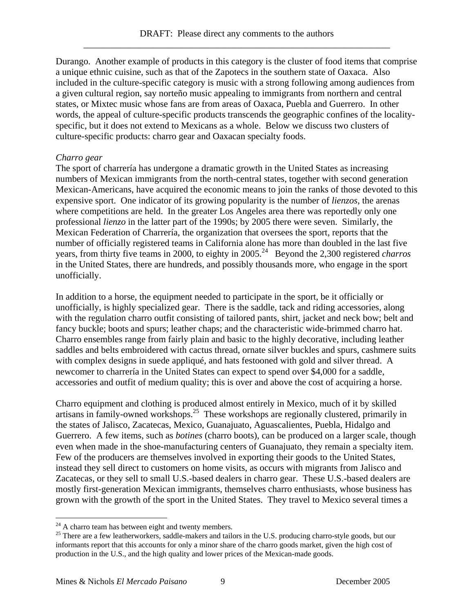Durango. Another example of products in this category is the cluster of food items that comprise a unique ethnic cuisine, such as that of the Zapotecs in the southern state of Oaxaca. Also included in the culture-specific category is music with a strong following among audiences from a given cultural region, say norteño music appealing to immigrants from northern and central states, or Mixtec music whose fans are from areas of Oaxaca, Puebla and Guerrero. In other words, the appeal of culture-specific products transcends the geographic confines of the localityspecific, but it does not extend to Mexicans as a whole. Below we discuss two clusters of culture-specific products: charro gear and Oaxacan specialty foods.

#### *Charro gear*

The sport of charrería has undergone a dramatic growth in the United States as increasing numbers of Mexican immigrants from the north-central states, together with second generation Mexican-Americans, have acquired the economic means to join the ranks of those devoted to this expensive sport. One indicator of its growing popularity is the number of *lienzos*, the arenas where competitions are held. In the greater Los Angeles area there was reportedly only one professional *lienzo* in the latter part of the 1990s; by 2005 there were seven. Similarly, the Mexican Federation of Charrería, the organization that oversees the sport, reports that the number of officially registered teams in California alone has more than doubled in the last five years, from thirty five teams in 2000, to eighty in 2005.<sup>24</sup> Beyond the 2,300 registered *charros* in the United States, there are hundreds, and possibly thousands more, who engage in the sport unofficially.

In addition to a horse, the equipment needed to participate in the sport, be it officially or unofficially, is highly specialized gear. There is the saddle, tack and riding accessories, along with the regulation charro outfit consisting of tailored pants, shirt, jacket and neck bow; belt and fancy buckle; boots and spurs; leather chaps; and the characteristic wide-brimmed charro hat. Charro ensembles range from fairly plain and basic to the highly decorative, including leather saddles and belts embroidered with cactus thread, ornate silver buckles and spurs, cashmere suits with complex designs in suede appliqué, and hats festooned with gold and silver thread. A newcomer to charrería in the United States can expect to spend over \$4,000 for a saddle, accessories and outfit of medium quality; this is over and above the cost of acquiring a horse.

Charro equipment and clothing is produced almost entirely in Mexico, much of it by skilled artisans in family-owned workshops.<sup>25</sup> These workshops are regionally clustered, primarily in the states of Jalisco, Zacatecas, Mexico, Guanajuato, Aguascalientes, Puebla, Hidalgo and Guerrero. A few items, such as *botines* (charro boots), can be produced on a larger scale, though even when made in the shoe-manufacturing centers of Guanajuato, they remain a specialty item. Few of the producers are themselves involved in exporting their goods to the United States, instead they sell direct to customers on home visits, as occurs with migrants from Jalisco and Zacatecas, or they sell to small U.S.-based dealers in charro gear. These U.S.-based dealers are mostly first-generation Mexican immigrants, themselves charro enthusiasts, whose business has grown with the growth of the sport in the United States. They travel to Mexico several times a

 $^{24}$  A charro team has between eight and twenty members.<br><sup>25</sup> There are a few leatherworkers, saddle-makers and tailors in the U.S. producing charro-style goods, but our informants report that this accounts for only a minor share of the charro goods market, given the high cost of production in the U.S., and the high quality and lower prices of the Mexican-made goods.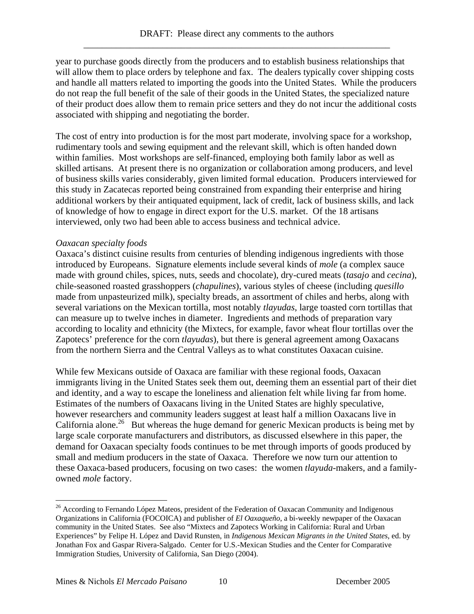year to purchase goods directly from the producers and to establish business relationships that will allow them to place orders by telephone and fax. The dealers typically cover shipping costs and handle all matters related to importing the goods into the United States. While the producers do not reap the full benefit of the sale of their goods in the United States, the specialized nature of their product does allow them to remain price setters and they do not incur the additional costs associated with shipping and negotiating the border.

The cost of entry into production is for the most part moderate, involving space for a workshop, rudimentary tools and sewing equipment and the relevant skill, which is often handed down within families. Most workshops are self-financed, employing both family labor as well as skilled artisans. At present there is no organization or collaboration among producers, and level of business skills varies considerably, given limited formal education. Producers interviewed for this study in Zacatecas reported being constrained from expanding their enterprise and hiring additional workers by their antiquated equipment, lack of credit, lack of business skills, and lack of knowledge of how to engage in direct export for the U.S. market. Of the 18 artisans interviewed, only two had been able to access business and technical advice.

# *Oaxacan specialty foods*

Oaxaca's distinct cuisine results from centuries of blending indigenous ingredients with those introduced by Europeans. Signature elements include several kinds of *mole* (a complex sauce made with ground chiles, spices, nuts, seeds and chocolate), dry-cured meats (*tasajo* and *cecina*), chile-seasoned roasted grasshoppers (*chapulines*), various styles of cheese (including *quesillo* made from unpasteurized milk), specialty breads, an assortment of chiles and herbs, along with several variations on the Mexican tortilla, most notably *tlayudas*, large toasted corn tortillas that can measure up to twelve inches in diameter. Ingredients and methods of preparation vary according to locality and ethnicity (the Mixtecs, for example, favor wheat flour tortillas over the Zapotecs' preference for the corn *tlayudas*), but there is general agreement among Oaxacans from the northern Sierra and the Central Valleys as to what constitutes Oaxacan cuisine.

While few Mexicans outside of Oaxaca are familiar with these regional foods, Oaxacan immigrants living in the United States seek them out, deeming them an essential part of their diet and identity, and a way to escape the loneliness and alienation felt while living far from home. Estimates of the numbers of Oaxacans living in the United States are highly speculative, however researchers and community leaders suggest at least half a million Oaxacans live in California alone.<sup>26</sup> But whereas the huge demand for generic Mexican products is being met by large scale corporate manufacturers and distributors, as discussed elsewhere in this paper, the demand for Oaxacan specialty foods continues to be met through imports of goods produced by small and medium producers in the state of Oaxaca. Therefore we now turn our attention to these Oaxaca-based producers, focusing on two cases: the women *tlayuda*-makers, and a familyowned *mole* factory.

<sup>&</sup>lt;sup>26</sup> According to Fernando López Mateos, president of the Federation of Oaxacan Community and Indigenous Organizations in California (FOCOICA) and publisher of *El Oaxaqueño*, a bi-weekly newpaper of the Oaxacan community in the United States. See also "Mixtecs and Zapotecs Working in California: Rural and Urban Experiences" by Felipe H. López and David Runsten, in *Indigenous Mexican Migrants in the United States*, ed. by Jonathan Fox and Gaspar Rivera-Salgado. Center for U.S.-Mexican Studies and the Center for Comparative Immigration Studies, University of California, San Diego (2004).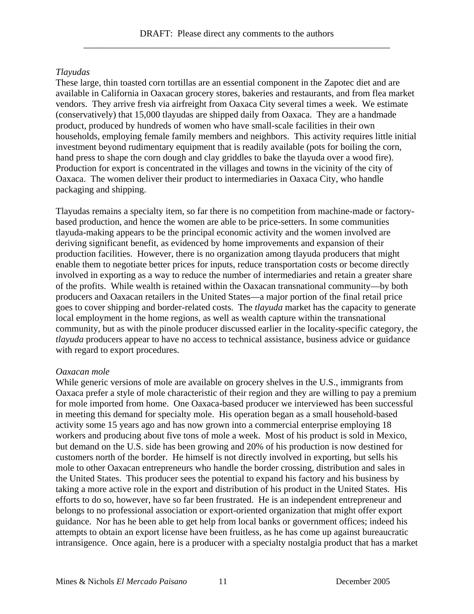# *Tlayudas*

These large, thin toasted corn tortillas are an essential component in the Zapotec diet and are available in California in Oaxacan grocery stores, bakeries and restaurants, and from flea market vendors. They arrive fresh via airfreight from Oaxaca City several times a week. We estimate (conservatively) that 15,000 tlayudas are shipped daily from Oaxaca. They are a handmade product, produced by hundreds of women who have small-scale facilities in their own households, employing female family members and neighbors. This activity requires little initial investment beyond rudimentary equipment that is readily available (pots for boiling the corn, hand press to shape the corn dough and clay griddles to bake the tlayuda over a wood fire). Production for export is concentrated in the villages and towns in the vicinity of the city of Oaxaca. The women deliver their product to intermediaries in Oaxaca City, who handle packaging and shipping.

Tlayudas remains a specialty item, so far there is no competition from machine-made or factorybased production, and hence the women are able to be price-setters. In some communities tlayuda-making appears to be the principal economic activity and the women involved are deriving significant benefit, as evidenced by home improvements and expansion of their production facilities. However, there is no organization among tlayuda producers that might enable them to negotiate better prices for inputs, reduce transportation costs or become directly involved in exporting as a way to reduce the number of intermediaries and retain a greater share of the profits. While wealth is retained within the Oaxacan transnational community—by both producers and Oaxacan retailers in the United States—a major portion of the final retail price goes to cover shipping and border-related costs. The *tlayuda* market has the capacity to generate local employment in the home regions, as well as wealth capture within the transnational community, but as with the pinole producer discussed earlier in the locality-specific category, the *tlayuda* producers appear to have no access to technical assistance, business advice or guidance with regard to export procedures.

#### *Oaxacan mole*

While generic versions of mole are available on grocery shelves in the U.S., immigrants from Oaxaca prefer a style of mole characteristic of their region and they are willing to pay a premium for mole imported from home. One Oaxaca-based producer we interviewed has been successful in meeting this demand for specialty mole. His operation began as a small household-based activity some 15 years ago and has now grown into a commercial enterprise employing 18 workers and producing about five tons of mole a week. Most of his product is sold in Mexico, but demand on the U.S. side has been growing and 20% of his production is now destined for customers north of the border. He himself is not directly involved in exporting, but sells his mole to other Oaxacan entrepreneurs who handle the border crossing, distribution and sales in the United States. This producer sees the potential to expand his factory and his business by taking a more active role in the export and distribution of his product in the United States. His efforts to do so, however, have so far been frustrated. He is an independent entrepreneur and belongs to no professional association or export-oriented organization that might offer export guidance. Nor has he been able to get help from local banks or government offices; indeed his attempts to obtain an export license have been fruitless, as he has come up against bureaucratic intransigence. Once again, here is a producer with a specialty nostalgia product that has a market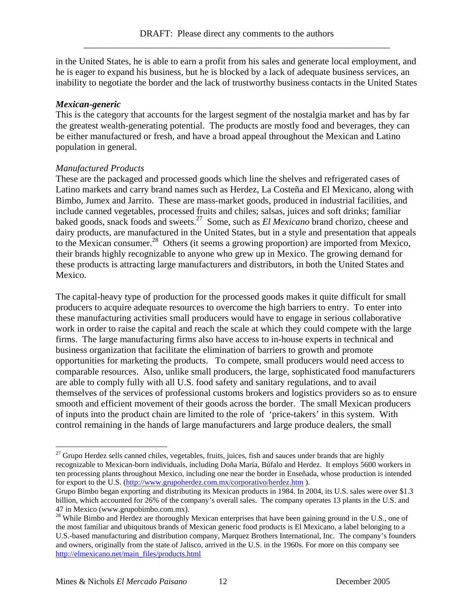in the United States, he is able to earn a profit from his sales and generate local employment, and he is eager to expand his business, but he is blocked by a lack of adequate business services, an inability to negotiate the border and the lack of trustworthy business contacts in the United States

# *Mexican-generic*

This is the category that accounts for the largest segment of the nostalgia market and has by far the greatest wealth-generating potential. The products are mostly food and beverages, they can be either manufactured or fresh, and have a broad appeal throughout the Mexican and Latino population in general.

# *Manufactured Products*

These are the packaged and processed goods which line the shelves and refrigerated cases of Latino markets and carry brand names such as Herdez, La Costeña and El Mexicano, along with Bimbo, Jumex and Jarrito. These are mass-market goods, produced in industrial facilities, and include canned vegetables, processed fruits and chiles; salsas, juices and soft drinks; familiar baked goods, snack foods and sweets.27 Some, such as *El Mexicano* brand chorizo, cheese and dairy products, are manufactured in the United States, but in a style and presentation that appeals to the Mexican consumer.<sup>28</sup> Others (it seems a growing proportion) are imported from Mexico, their brands highly recognizable to anyone who grew up in Mexico. The growing demand for these products is attracting large manufacturers and distributors, in both the United States and Mexico.

The capital-heavy type of production for the processed goods makes it quite difficult for small producers to acquire adequate resources to overcome the high barriers to entry. To enter into these manufacturing activities small producers would have to engage in serious collaborative work in order to raise the capital and reach the scale at which they could compete with the large firms. The large manufacturing firms also have access to in-house experts in technical and business organization that facilitate the elimination of barriers to growth and promote opportunities for marketing the products. To compete, small producers would need access to comparable resources. Also, unlike small producers, the large, sophisticated food manufacturers are able to comply fully with all U.S. food safety and sanitary regulations, and to avail themselves of the services of professional customs brokers and logistics providers so as to ensure smooth and efficient movement of their goods across the border. The small Mexican producers of inputs into the product chain are limited to the role of 'price-takers' in this system. With control remaining in the hands of large manufacturers and large produce dealers, the small

<sup>&</sup>lt;sup>27</sup> Grupo Herdez sells canned chiles, vegetables, fruits, juices, fish and sauces under brands that are highly recognizable to Mexican-born individuals, including Doña María, Búfalo and Herdez. It employs 5600 workers in ten processing plants throughout Mexico, including one near the border in Enseñada, whose production is intended for export to the U.S. (http://www.grupoherdez.com.mx/corporativo/herdez.htm ).

Grupo Bimbo began exporting and distributing its Mexican products in 1984. In 2004, its U.S. sales were over \$1.3 billion, which accounted for 26% of the company's overall sales. The company operates 13 plants in the U.S. and 47 in Mexico (www.grupobimbo.com.mx).

<sup>&</sup>lt;sup>28</sup> While Bimbo and Herdez are thoroughly Mexican enterprises that have been gaining ground in the U.S., one of the most familiar and ubiquitous brands of Mexican generic food products is El Mexicano, a label belonging to a U.S.-based manufacturing and distribution company, Marquez Brothers International, Inc. The company's founders and owners, originally from the state of Jalisco, arrived in the U.S. in the 1960s. For more on this company see http://elmexicano.net/main\_files/products.html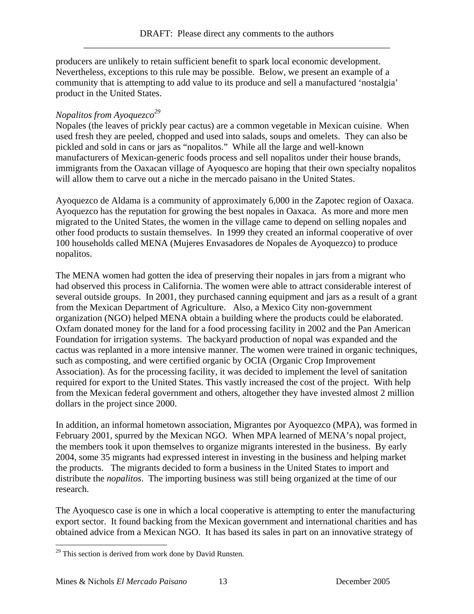producers are unlikely to retain sufficient benefit to spark local economic development. Nevertheless, exceptions to this rule may be possible. Below, we present an example of a community that is attempting to add value to its produce and sell a manufactured 'nostalgia' product in the United States.

# *Nopalitos from Ayoquezco29*

Nopales (the leaves of prickly pear cactus) are a common vegetable in Mexican cuisine. When used fresh they are peeled, chopped and used into salads, soups and omelets. They can also be pickled and sold in cans or jars as "nopalitos." While all the large and well-known manufacturers of Mexican-generic foods process and sell nopalitos under their house brands, immigrants from the Oaxacan village of Ayoquesco are hoping that their own specialty nopalitos will allow them to carve out a niche in the mercado paisano in the United States.

Ayoquezco de Aldama is a community of approximately 6,000 in the Zapotec region of Oaxaca. Ayoquezco has the reputation for growing the best nopales in Oaxaca. As more and more men migrated to the United States, the women in the village came to depend on selling nopales and other food products to sustain themselves. In 1999 they created an informal cooperative of over 100 households called MENA (Mujeres Envasadores de Nopales de Ayoquezco) to produce nopalitos.

The MENA women had gotten the idea of preserving their nopales in jars from a migrant who had observed this process in California. The women were able to attract considerable interest of several outside groups. In 2001, they purchased canning equipment and jars as a result of a grant from the Mexican Department of Agriculture. Also, a Mexico City non-government organization (NGO) helped MENA obtain a building where the products could be elaborated. Oxfam donated money for the land for a food processing facility in 2002 and the Pan American Foundation for irrigation systems. The backyard production of nopal was expanded and the cactus was replanted in a more intensive manner. The women were trained in organic techniques, such as composting, and were certified organic by OCIA (Organic Crop Improvement Association). As for the processing facility, it was decided to implement the level of sanitation required for export to the United States. This vastly increased the cost of the project. With help from the Mexican federal government and others, altogether they have invested almost 2 million dollars in the project since 2000.

In addition, an informal hometown association, Migrantes por Ayoquezco (MPA), was formed in February 2001, spurred by the Mexican NGO. When MPA learned of MENA's nopal project, the members took it upon themselves to organize migrants interested in the business. By early 2004, some 35 migrants had expressed interest in investing in the business and helping market the products. The migrants decided to form a business in the United States to import and distribute the *nopalitos*. The importing business was still being organized at the time of our research.

The Ayoquesco case is one in which a local cooperative is attempting to enter the manufacturing export sector. It found backing from the Mexican government and international charities and has obtained advice from a Mexican NGO. It has based its sales in part on an innovative strategy of

 $29$  This section is derived from work done by David Runsten.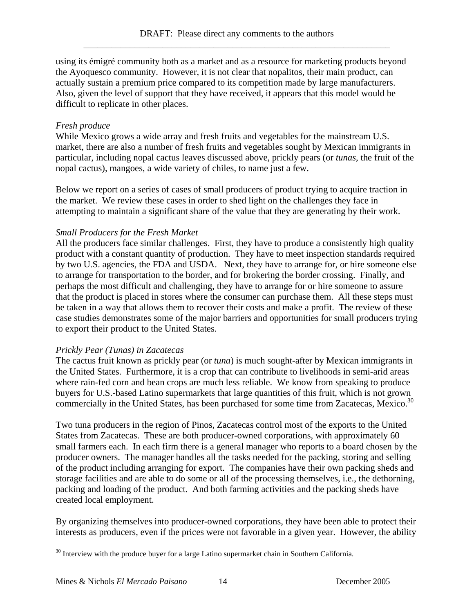using its émigré community both as a market and as a resource for marketing products beyond the Ayoquesco community. However, it is not clear that nopalitos, their main product, can actually sustain a premium price compared to its competition made by large manufacturers. Also, given the level of support that they have received, it appears that this model would be difficult to replicate in other places.

# *Fresh produce*

While Mexico grows a wide array and fresh fruits and vegetables for the mainstream U.S. market, there are also a number of fresh fruits and vegetables sought by Mexican immigrants in particular, including nopal cactus leaves discussed above, prickly pears (or *tunas*, the fruit of the nopal cactus), mangoes, a wide variety of chiles, to name just a few.

Below we report on a series of cases of small producers of product trying to acquire traction in the market. We review these cases in order to shed light on the challenges they face in attempting to maintain a significant share of the value that they are generating by their work.

# *Small Producers for the Fresh Market*

All the producers face similar challenges. First, they have to produce a consistently high quality product with a constant quantity of production. They have to meet inspection standards required by two U.S. agencies, the FDA and USDA. Next, they have to arrange for, or hire someone else to arrange for transportation to the border, and for brokering the border crossing. Finally, and perhaps the most difficult and challenging, they have to arrange for or hire someone to assure that the product is placed in stores where the consumer can purchase them. All these steps must be taken in a way that allows them to recover their costs and make a profit. The review of these case studies demonstrates some of the major barriers and opportunities for small producers trying to export their product to the United States.

#### *Prickly Pear (Tunas) in Zacatecas*

The cactus fruit known as prickly pear (or *tuna*) is much sought-after by Mexican immigrants in the United States. Furthermore, it is a crop that can contribute to livelihoods in semi-arid areas where rain-fed corn and bean crops are much less reliable. We know from speaking to produce buyers for U.S.-based Latino supermarkets that large quantities of this fruit, which is not grown commercially in the United States, has been purchased for some time from Zacatecas, Mexico.<sup>30</sup>

Two tuna producers in the region of Pinos, Zacatecas control most of the exports to the United States from Zacatecas. These are both producer-owned corporations, with approximately 60 small farmers each. In each firm there is a general manager who reports to a board chosen by the producer owners. The manager handles all the tasks needed for the packing, storing and selling of the product including arranging for export. The companies have their own packing sheds and storage facilities and are able to do some or all of the processing themselves, i.e., the dethorning, packing and loading of the product. And both farming activities and the packing sheds have created local employment.

By organizing themselves into producer-owned corporations, they have been able to protect their interests as producers, even if the prices were not favorable in a given year. However, the ability

 $\overline{a}$  $30$  Interview with the produce buyer for a large Latino supermarket chain in Southern California.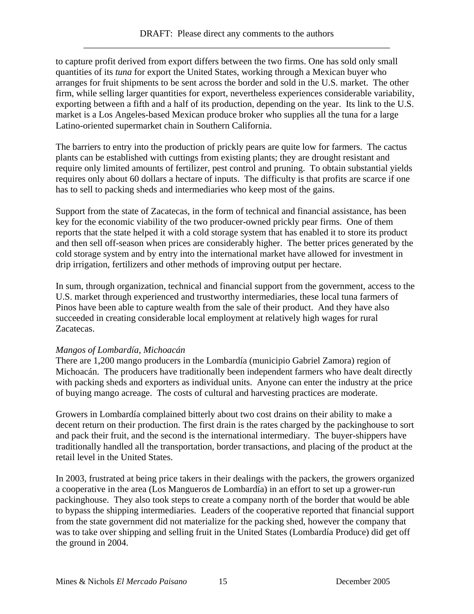to capture profit derived from export differs between the two firms. One has sold only small quantities of its *tuna* for export the United States, working through a Mexican buyer who arranges for fruit shipments to be sent across the border and sold in the U.S. market. The other firm, while selling larger quantities for export, nevertheless experiences considerable variability, exporting between a fifth and a half of its production, depending on the year. Its link to the U.S. market is a Los Angeles-based Mexican produce broker who supplies all the tuna for a large Latino-oriented supermarket chain in Southern California.

The barriers to entry into the production of prickly pears are quite low for farmers. The cactus plants can be established with cuttings from existing plants; they are drought resistant and require only limited amounts of fertilizer, pest control and pruning. To obtain substantial yields requires only about 60 dollars a hectare of inputs. The difficulty is that profits are scarce if one has to sell to packing sheds and intermediaries who keep most of the gains.

Support from the state of Zacatecas, in the form of technical and financial assistance, has been key for the economic viability of the two producer-owned prickly pear firms. One of them reports that the state helped it with a cold storage system that has enabled it to store its product and then sell off-season when prices are considerably higher. The better prices generated by the cold storage system and by entry into the international market have allowed for investment in drip irrigation, fertilizers and other methods of improving output per hectare.

In sum, through organization, technical and financial support from the government, access to the U.S. market through experienced and trustworthy intermediaries, these local tuna farmers of Pinos have been able to capture wealth from the sale of their product. And they have also succeeded in creating considerable local employment at relatively high wages for rural Zacatecas.

# *Mangos of Lombardía, Michoacán*

There are 1,200 mango producers in the Lombardía (municipio Gabriel Zamora) region of Michoacán. The producers have traditionally been independent farmers who have dealt directly with packing sheds and exporters as individual units. Anyone can enter the industry at the price of buying mango acreage. The costs of cultural and harvesting practices are moderate.

Growers in Lombardía complained bitterly about two cost drains on their ability to make a decent return on their production. The first drain is the rates charged by the packinghouse to sort and pack their fruit, and the second is the international intermediary. The buyer-shippers have traditionally handled all the transportation, border transactions, and placing of the product at the retail level in the United States.

In 2003, frustrated at being price takers in their dealings with the packers, the growers organized a cooperative in the area (Los Mangueros de Lombardía) in an effort to set up a grower-run packinghouse. They also took steps to create a company north of the border that would be able to bypass the shipping intermediaries. Leaders of the cooperative reported that financial support from the state government did not materialize for the packing shed, however the company that was to take over shipping and selling fruit in the United States (Lombardía Produce) did get off the ground in 2004.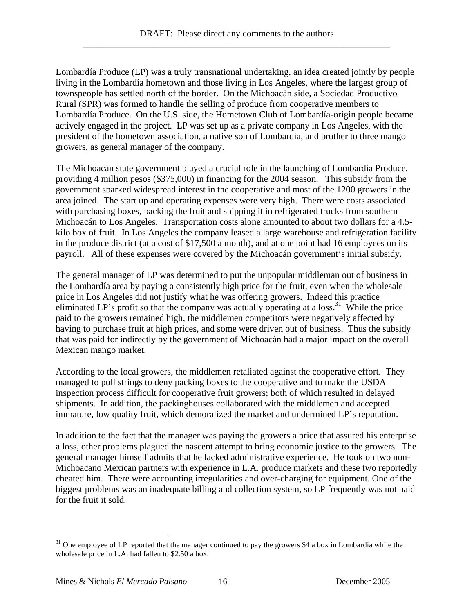Lombardía Produce (LP) was a truly transnational undertaking, an idea created jointly by people living in the Lombardía hometown and those living in Los Angeles, where the largest group of townspeople has settled north of the border. On the Michoacán side, a Sociedad Productivo Rural (SPR) was formed to handle the selling of produce from cooperative members to Lombardía Produce. On the U.S. side, the Hometown Club of Lombardía-origin people became actively engaged in the project. LP was set up as a private company in Los Angeles, with the president of the hometown association, a native son of Lombardía, and brother to three mango growers, as general manager of the company.

The Michoacán state government played a crucial role in the launching of Lombardía Produce, providing 4 million pesos (\$375,000) in financing for the 2004 season. This subsidy from the government sparked widespread interest in the cooperative and most of the 1200 growers in the area joined. The start up and operating expenses were very high. There were costs associated with purchasing boxes, packing the fruit and shipping it in refrigerated trucks from southern Michoacán to Los Angeles. Transportation costs alone amounted to about two dollars for a 4.5 kilo box of fruit. In Los Angeles the company leased a large warehouse and refrigeration facility in the produce district (at a cost of \$17,500 a month), and at one point had 16 employees on its payroll. All of these expenses were covered by the Michoacán government's initial subsidy.

The general manager of LP was determined to put the unpopular middleman out of business in the Lombardía area by paying a consistently high price for the fruit, even when the wholesale price in Los Angeles did not justify what he was offering growers. Indeed this practice eliminated LP's profit so that the company was actually operating at a loss.<sup>31</sup> While the price paid to the growers remained high, the middlemen competitors were negatively affected by having to purchase fruit at high prices, and some were driven out of business. Thus the subsidy that was paid for indirectly by the government of Michoacán had a major impact on the overall Mexican mango market.

According to the local growers, the middlemen retaliated against the cooperative effort. They managed to pull strings to deny packing boxes to the cooperative and to make the USDA inspection process difficult for cooperative fruit growers; both of which resulted in delayed shipments. In addition, the packinghouses collaborated with the middlemen and accepted immature, low quality fruit, which demoralized the market and undermined LP's reputation.

In addition to the fact that the manager was paying the growers a price that assured his enterprise a loss, other problems plagued the nascent attempt to bring economic justice to the growers. The general manager himself admits that he lacked administrative experience. He took on two non-Michoacano Mexican partners with experience in L.A. produce markets and these two reportedly cheated him. There were accounting irregularities and over-charging for equipment. One of the biggest problems was an inadequate billing and collection system, so LP frequently was not paid for the fruit it sold.

 $31$  One employee of LP reported that the manager continued to pay the growers \$4 a box in Lombardía while the wholesale price in L.A. had fallen to \$2.50 a box.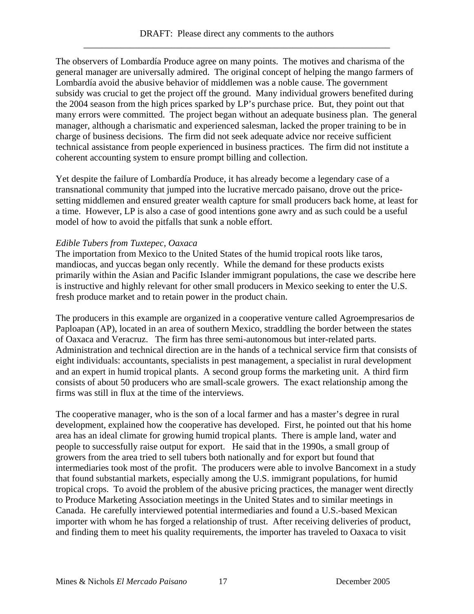The observers of Lombardía Produce agree on many points. The motives and charisma of the general manager are universally admired. The original concept of helping the mango farmers of Lombardía avoid the abusive behavior of middlemen was a noble cause. The government subsidy was crucial to get the project off the ground. Many individual growers benefited during the 2004 season from the high prices sparked by LP's purchase price. But, they point out that many errors were committed. The project began without an adequate business plan. The general manager, although a charismatic and experienced salesman, lacked the proper training to be in charge of business decisions. The firm did not seek adequate advice nor receive sufficient technical assistance from people experienced in business practices. The firm did not institute a coherent accounting system to ensure prompt billing and collection.

Yet despite the failure of Lombardía Produce, it has already become a legendary case of a transnational community that jumped into the lucrative mercado paisano, drove out the pricesetting middlemen and ensured greater wealth capture for small producers back home, at least for a time. However, LP is also a case of good intentions gone awry and as such could be a useful model of how to avoid the pitfalls that sunk a noble effort.

# *Edible Tubers from Tuxtepec, Oaxaca*

The importation from Mexico to the United States of the humid tropical roots like taros, mandiocas, and yuccas began only recently. While the demand for these products exists primarily within the Asian and Pacific Islander immigrant populations, the case we describe here is instructive and highly relevant for other small producers in Mexico seeking to enter the U.S. fresh produce market and to retain power in the product chain.

The producers in this example are organized in a cooperative venture called Agroempresarios de Paploapan (AP), located in an area of southern Mexico, straddling the border between the states of Oaxaca and Veracruz. The firm has three semi-autonomous but inter-related parts. Administration and technical direction are in the hands of a technical service firm that consists of eight individuals: accountants, specialists in pest management, a specialist in rural development and an expert in humid tropical plants. A second group forms the marketing unit. A third firm consists of about 50 producers who are small-scale growers. The exact relationship among the firms was still in flux at the time of the interviews.

The cooperative manager, who is the son of a local farmer and has a master's degree in rural development, explained how the cooperative has developed. First, he pointed out that his home area has an ideal climate for growing humid tropical plants. There is ample land, water and people to successfully raise output for export. He said that in the 1990s, a small group of growers from the area tried to sell tubers both nationally and for export but found that intermediaries took most of the profit. The producers were able to involve Bancomext in a study that found substantial markets, especially among the U.S. immigrant populations, for humid tropical crops. To avoid the problem of the abusive pricing practices, the manager went directly to Produce Marketing Association meetings in the United States and to similar meetings in Canada. He carefully interviewed potential intermediaries and found a U.S.-based Mexican importer with whom he has forged a relationship of trust. After receiving deliveries of product, and finding them to meet his quality requirements, the importer has traveled to Oaxaca to visit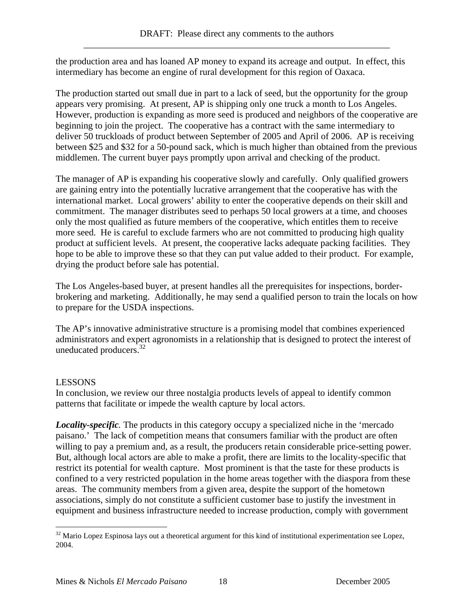the production area and has loaned AP money to expand its acreage and output. In effect, this intermediary has become an engine of rural development for this region of Oaxaca.

The production started out small due in part to a lack of seed, but the opportunity for the group appears very promising. At present, AP is shipping only one truck a month to Los Angeles. However, production is expanding as more seed is produced and neighbors of the cooperative are beginning to join the project. The cooperative has a contract with the same intermediary to deliver 50 truckloads of product between September of 2005 and April of 2006. AP is receiving between \$25 and \$32 for a 50-pound sack, which is much higher than obtained from the previous middlemen. The current buyer pays promptly upon arrival and checking of the product.

The manager of AP is expanding his cooperative slowly and carefully. Only qualified growers are gaining entry into the potentially lucrative arrangement that the cooperative has with the international market. Local growers' ability to enter the cooperative depends on their skill and commitment. The manager distributes seed to perhaps 50 local growers at a time, and chooses only the most qualified as future members of the cooperative, which entitles them to receive more seed. He is careful to exclude farmers who are not committed to producing high quality product at sufficient levels. At present, the cooperative lacks adequate packing facilities. They hope to be able to improve these so that they can put value added to their product. For example, drying the product before sale has potential.

The Los Angeles-based buyer, at present handles all the prerequisites for inspections, borderbrokering and marketing. Additionally, he may send a qualified person to train the locals on how to prepare for the USDA inspections.

The AP's innovative administrative structure is a promising model that combines experienced administrators and expert agronomists in a relationship that is designed to protect the interest of uneducated producers. $32$ 

# LESSONS

 $\overline{a}$ 

In conclusion, we review our three nostalgia products levels of appeal to identify common patterns that facilitate or impede the wealth capture by local actors.

*Locality-specific.* The products in this category occupy a specialized niche in the 'mercado paisano.' The lack of competition means that consumers familiar with the product are often willing to pay a premium and, as a result, the producers retain considerable price-setting power. But, although local actors are able to make a profit, there are limits to the locality-specific that restrict its potential for wealth capture. Most prominent is that the taste for these products is confined to a very restricted population in the home areas together with the diaspora from these areas. The community members from a given area, despite the support of the hometown associations, simply do not constitute a sufficient customer base to justify the investment in equipment and business infrastructure needed to increase production, comply with government

 $32$  Mario Lopez Espinosa lays out a theoretical argument for this kind of institutional experimentation see Lopez, 2004.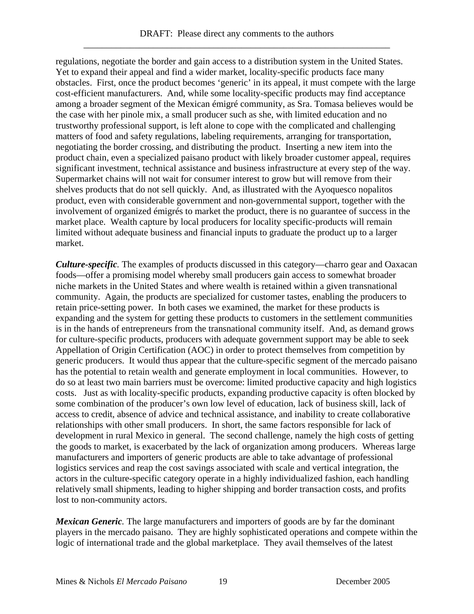regulations, negotiate the border and gain access to a distribution system in the United States. Yet to expand their appeal and find a wider market, locality-specific products face many obstacles. First, once the product becomes 'generic' in its appeal, it must compete with the large cost-efficient manufacturers. And, while some locality-specific products may find acceptance among a broader segment of the Mexican émigré community, as Sra. Tomasa believes would be the case with her pinole mix, a small producer such as she, with limited education and no trustworthy professional support, is left alone to cope with the complicated and challenging matters of food and safety regulations, labeling requirements, arranging for transportation, negotiating the border crossing, and distributing the product. Inserting a new item into the product chain, even a specialized paisano product with likely broader customer appeal, requires significant investment, technical assistance and business infrastructure at every step of the way. Supermarket chains will not wait for consumer interest to grow but will remove from their shelves products that do not sell quickly. And, as illustrated with the Ayoquesco nopalitos product, even with considerable government and non-governmental support, together with the involvement of organized émigrés to market the product, there is no guarantee of success in the market place. Wealth capture by local producers for locality specific-products will remain limited without adequate business and financial inputs to graduate the product up to a larger market.

*Culture-specific.* The examples of products discussed in this category—charro gear and Oaxacan foods—offer a promising model whereby small producers gain access to somewhat broader niche markets in the United States and where wealth is retained within a given transnational community. Again, the products are specialized for customer tastes, enabling the producers to retain price-setting power. In both cases we examined, the market for these products is expanding and the system for getting these products to customers in the settlement communities is in the hands of entrepreneurs from the transnational community itself. And, as demand grows for culture-specific products, producers with adequate government support may be able to seek Appellation of Origin Certification (AOC) in order to protect themselves from competition by generic producers. It would thus appear that the culture-specific segment of the mercado paisano has the potential to retain wealth and generate employment in local communities. However, to do so at least two main barriers must be overcome: limited productive capacity and high logistics costs. Just as with locality-specific products, expanding productive capacity is often blocked by some combination of the producer's own low level of education, lack of business skill, lack of access to credit, absence of advice and technical assistance, and inability to create collaborative relationships with other small producers. In short, the same factors responsible for lack of development in rural Mexico in general. The second challenge, namely the high costs of getting the goods to market, is exacerbated by the lack of organization among producers. Whereas large manufacturers and importers of generic products are able to take advantage of professional logistics services and reap the cost savings associated with scale and vertical integration, the actors in the culture-specific category operate in a highly individualized fashion, each handling relatively small shipments, leading to higher shipping and border transaction costs, and profits lost to non-community actors.

*Mexican Generic.* The large manufacturers and importers of goods are by far the dominant players in the mercado paisano. They are highly sophisticated operations and compete within the logic of international trade and the global marketplace. They avail themselves of the latest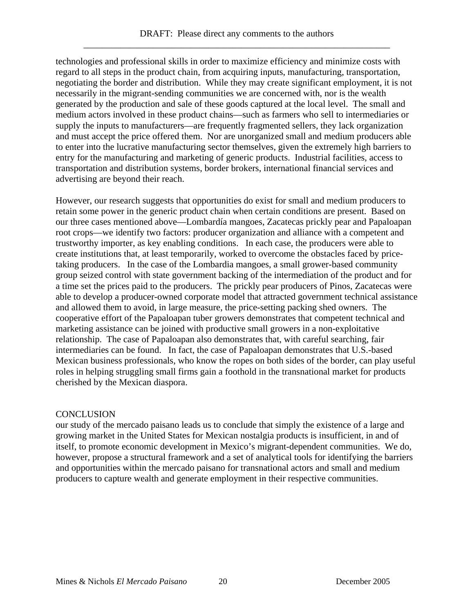technologies and professional skills in order to maximize efficiency and minimize costs with regard to all steps in the product chain, from acquiring inputs, manufacturing, transportation, negotiating the border and distribution. While they may create significant employment, it is not necessarily in the migrant-sending communities we are concerned with, nor is the wealth generated by the production and sale of these goods captured at the local level. The small and medium actors involved in these product chains—such as farmers who sell to intermediaries or supply the inputs to manufacturers—are frequently fragmented sellers, they lack organization and must accept the price offered them. Nor are unorganized small and medium producers able to enter into the lucrative manufacturing sector themselves, given the extremely high barriers to entry for the manufacturing and marketing of generic products. Industrial facilities, access to transportation and distribution systems, border brokers, international financial services and advertising are beyond their reach.

However, our research suggests that opportunities do exist for small and medium producers to retain some power in the generic product chain when certain conditions are present. Based on our three cases mentioned above—Lombardía mangoes, Zacatecas prickly pear and Papaloapan root crops—we identify two factors: producer organization and alliance with a competent and trustworthy importer, as key enabling conditions. In each case, the producers were able to create institutions that, at least temporarily, worked to overcome the obstacles faced by pricetaking producers. In the case of the Lombardia mangoes, a small grower-based community group seized control with state government backing of the intermediation of the product and for a time set the prices paid to the producers. The prickly pear producers of Pinos, Zacatecas were able to develop a producer-owned corporate model that attracted government technical assistance and allowed them to avoid, in large measure, the price-setting packing shed owners. The cooperative effort of the Papaloapan tuber growers demonstrates that competent technical and marketing assistance can be joined with productive small growers in a non-exploitative relationship. The case of Papaloapan also demonstrates that, with careful searching, fair intermediaries can be found. In fact, the case of Papaloapan demonstrates that U.S.-based Mexican business professionals, who know the ropes on both sides of the border, can play useful roles in helping struggling small firms gain a foothold in the transnational market for products cherished by the Mexican diaspora.

#### **CONCLUSION**

our study of the mercado paisano leads us to conclude that simply the existence of a large and growing market in the United States for Mexican nostalgia products is insufficient, in and of itself, to promote economic development in Mexico's migrant-dependent communities. We do, however, propose a structural framework and a set of analytical tools for identifying the barriers and opportunities within the mercado paisano for transnational actors and small and medium producers to capture wealth and generate employment in their respective communities.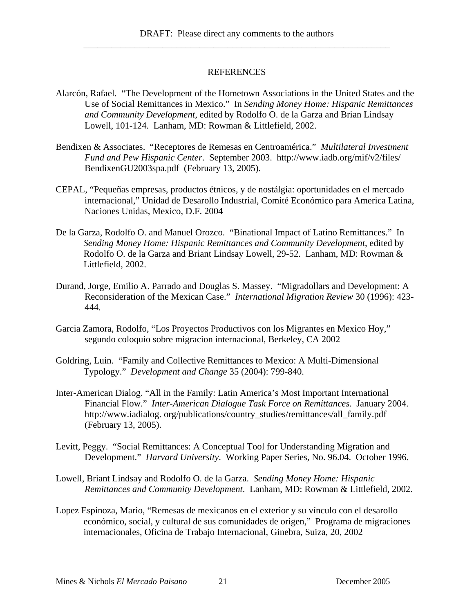#### REFERENCES

- Alarcón, Rafael. "The Development of the Hometown Associations in the United States and the Use of Social Remittances in Mexico." In *Sending Money Home: Hispanic Remittances and Community Development*, edited by Rodolfo O. de la Garza and Brian Lindsay Lowell, 101-124. Lanham, MD: Rowman & Littlefield, 2002.
- Bendixen & Associates. "Receptores de Remesas en Centroamérica." *Multilateral Investment Fund and Pew Hispanic Center*. September 2003. http://www.iadb.org/mif/v2/files/ BendixenGU2003spa.pdf (February 13, 2005).
- CEPAL, "Pequeñas empresas, productos étnicos, y de nostálgia: oportunidades en el mercado internacional," Unidad de Desarollo Industrial, Comité Económico para America Latina, Naciones Unidas, Mexico, D.F. 2004
- De la Garza, Rodolfo O. and Manuel Orozco. "Binational Impact of Latino Remittances." In *Sending Money Home: Hispanic Remittances and Community Development*, edited by Rodolfo O. de la Garza and Briant Lindsay Lowell, 29-52. Lanham, MD: Rowman & Littlefield, 2002.
- Durand, Jorge, Emilio A. Parrado and Douglas S. Massey. "Migradollars and Development: A Reconsideration of the Mexican Case." *International Migration Review* 30 (1996): 423- 444.
- Garcia Zamora, Rodolfo, "Los Proyectos Productivos con los Migrantes en Mexico Hoy," segundo coloquio sobre migracion internacional, Berkeley, CA 2002
- Goldring, Luin. "Family and Collective Remittances to Mexico: A Multi-Dimensional Typology." *Development and Change* 35 (2004): 799-840.
- Inter-American Dialog. "All in the Family: Latin America's Most Important International Financial Flow." *Inter-American Dialogue Task Force on Remittances*. January 2004. http://www.iadialog. org/publications/country\_studies/remittances/all\_family.pdf (February 13, 2005).
- Levitt, Peggy. "Social Remittances: A Conceptual Tool for Understanding Migration and Development." *Harvard University*. Working Paper Series, No. 96.04. October 1996.
- Lowell, Briant Lindsay and Rodolfo O. de la Garza. *Sending Money Home: Hispanic Remittances and Community Development*. Lanham, MD: Rowman & Littlefield, 2002.
- Lopez Espinoza, Mario, "Remesas de mexicanos en el exterior y su vínculo con el desarollo económico, social, y cultural de sus comunidades de origen," Programa de migraciones internacionales, Oficina de Trabajo Internacional, Ginebra, Suiza, 20, 2002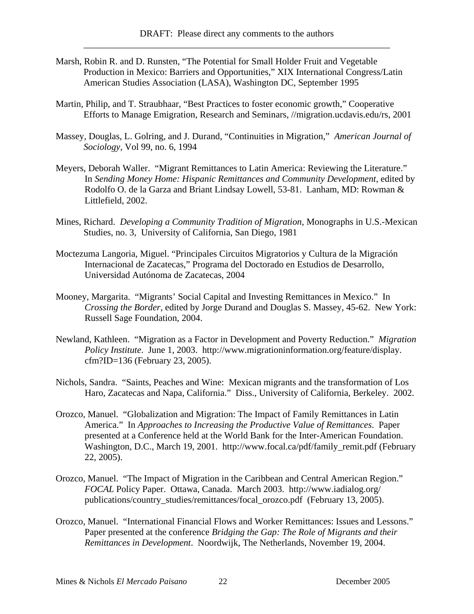- Marsh, Robin R. and D. Runsten, "The Potential for Small Holder Fruit and Vegetable Production in Mexico: Barriers and Opportunities," XIX International Congress/Latin American Studies Association (LASA), Washington DC, September 1995
- Martin, Philip, and T. Straubhaar, "Best Practices to foster economic growth," Cooperative Efforts to Manage Emigration, Research and Seminars, //migration.ucdavis.edu/rs, 2001
- Massey, Douglas, L. Golring, and J. Durand, "Continuities in Migration," *American Journal of Sociology,* Vol 99, no. 6, 1994
- Meyers, Deborah Waller. "Migrant Remittances to Latin America: Reviewing the Literature." In *Sending Money Home: Hispanic Remittances and Community Development*, edited by Rodolfo O. de la Garza and Briant Lindsay Lowell, 53-81. Lanham, MD: Rowman & Littlefield, 2002.
- Mines, Richard. *Developing a Community Tradition of Migration*, Monographs in U.S.-Mexican Studies, no. 3, University of California, San Diego, 1981
- Moctezuma Langoria, Miguel. "Principales Circuitos Migratorios y Cultura de la Migración Internacional de Zacatecas," Programa del Doctorado en Estudios de Desarrollo, Universidad Autónoma de Zacatecas, 2004
- Mooney, Margarita. "Migrants' Social Capital and Investing Remittances in Mexico." In *Crossing the Border*, edited by Jorge Durand and Douglas S. Massey, 45-62. New York: Russell Sage Foundation, 2004.
- Newland, Kathleen. "Migration as a Factor in Development and Poverty Reduction." *Migration Policy Institute*. June 1, 2003. http://www.migrationinformation.org/feature/display. cfm?ID=136 (February 23, 2005).
- Nichols, Sandra. "Saints, Peaches and Wine: Mexican migrants and the transformation of Los Haro, Zacatecas and Napa, California." Diss., University of California, Berkeley. 2002.
- Orozco, Manuel. "Globalization and Migration: The Impact of Family Remittances in Latin America." In *Approaches to Increasing the Productive Value of Remittances*. Paper presented at a Conference held at the World Bank for the Inter-American Foundation. Washington, D.C., March 19, 2001. http://www.focal.ca/pdf/family\_remit.pdf (February 22, 2005).
- Orozco, Manuel. "The Impact of Migration in the Caribbean and Central American Region." *FOCAL* Policy Paper. Ottawa, Canada. March 2003. http://www.iadialog.org/ publications/country\_studies/remittances/focal\_orozco.pdf (February 13, 2005).
- Orozco, Manuel. "International Financial Flows and Worker Remittances: Issues and Lessons." Paper presented at the conference *Bridging the Gap: The Role of Migrants and their Remittances in Development*. Noordwijk, The Netherlands, November 19, 2004.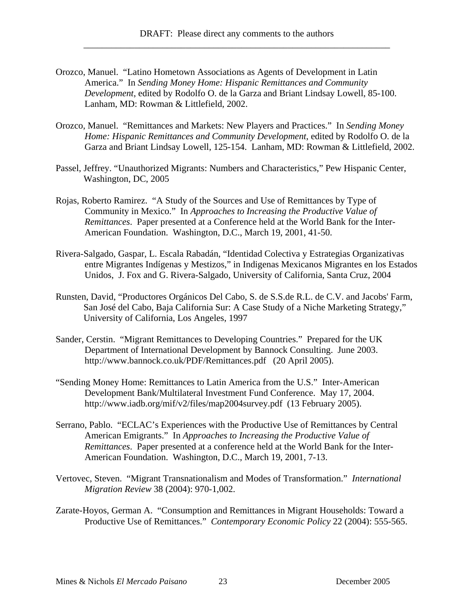- Orozco, Manuel. "Latino Hometown Associations as Agents of Development in Latin America." In *Sending Money Home: Hispanic Remittances and Community Development*, edited by Rodolfo O. de la Garza and Briant Lindsay Lowell, 85-100. Lanham, MD: Rowman & Littlefield, 2002.
- Orozco, Manuel. "Remittances and Markets: New Players and Practices." In *Sending Money Home: Hispanic Remittances and Community Development*, edited by Rodolfo O. de la Garza and Briant Lindsay Lowell, 125-154. Lanham, MD: Rowman & Littlefield, 2002.
- Passel, Jeffrey. "Unauthorized Migrants: Numbers and Characteristics," Pew Hispanic Center, Washington, DC, 2005
- Rojas, Roberto Ramirez. "A Study of the Sources and Use of Remittances by Type of Community in Mexico." In *Approaches to Increasing the Productive Value of Remittances*. Paper presented at a Conference held at the World Bank for the Inter-American Foundation. Washington, D.C., March 19, 2001, 41-50.
- Rivera-Salgado, Gaspar, L. Escala Rabadán, "Identidad Colectiva y Estrategias Organizativas entre Migrantes Indígenas y Mestizos," in Indigenas Mexicanos Migrantes en los Estados Unidos, J. Fox and G. Rivera-Salgado, University of California, Santa Cruz, 2004
- Runsten, David, "Productores Orgánicos Del Cabo, S. de S.S.de R.L. de C.V. and Jacobs' Farm, San José del Cabo, Baja California Sur: A Case Study of a Niche Marketing Strategy," University of California, Los Angeles, 1997
- Sander, Cerstin. "Migrant Remittances to Developing Countries." Prepared for the UK Department of International Development by Bannock Consulting. June 2003. http://www.bannock.co.uk/PDF/Remittances.pdf (20 April 2005).
- "Sending Money Home: Remittances to Latin America from the U.S." Inter-American Development Bank/Multilateral Investment Fund Conference. May 17, 2004. http://www.iadb.org/mif/v2/files/map2004survey.pdf (13 February 2005).
- Serrano, Pablo. "ECLAC's Experiences with the Productive Use of Remittances by Central American Emigrants." In *Approaches to Increasing the Productive Value of Remittances*. Paper presented at a conference held at the World Bank for the Inter-American Foundation. Washington, D.C., March 19, 2001, 7-13.
- Vertovec, Steven. "Migrant Transnationalism and Modes of Transformation." *International Migration Review* 38 (2004): 970-1,002.
- Zarate-Hoyos, German A. "Consumption and Remittances in Migrant Households: Toward a Productive Use of Remittances." *Contemporary Economic Policy* 22 (2004): 555-565.